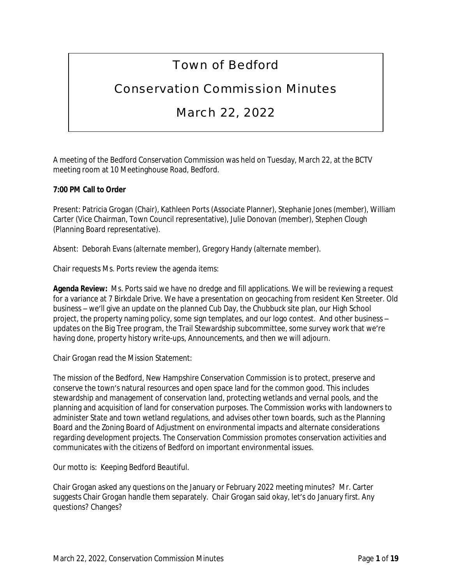# Town of Bedford

# Conservation Commission Minutes

# March 22, 2022

A meeting of the Bedford Conservation Commission was held on Tuesday, March 22, at the BCTV meeting room at 10 Meetinghouse Road, Bedford.

# **7:00 PM Call to Order**

Present: Patricia Grogan (Chair), Kathleen Ports (Associate Planner), Stephanie Jones (member), William Carter (Vice Chairman, Town Council representative), Julie Donovan (member), Stephen Clough (Planning Board representative).

Absent: Deborah Evans (alternate member), Gregory Handy (alternate member).

Chair requests Ms. Ports review the agenda items:

**Agenda Review:** Ms. Ports said we have no dredge and fill applications. We will be reviewing a request for a variance at 7 Birkdale Drive. We have a presentation on geocaching from resident Ken Streeter. Old business – we'll give an update on the planned Cub Day, the Chubbuck site plan, our High School project, the property naming policy, some sign templates, and our logo contest. And other business – updates on the Big Tree program, the Trail Stewardship subcommittee, some survey work that we're having done, property history write-ups, Announcements, and then we will adjourn.

Chair Grogan read the Mission Statement:

The mission of the Bedford, New Hampshire Conservation Commission is to protect, preserve and conserve the town's natural resources and open space land for the common good. This includes stewardship and management of conservation land, protecting wetlands and vernal pools, and the planning and acquisition of land for conservation purposes. The Commission works with landowners to administer State and town wetland regulations, and advises other town boards, such as the Planning Board and the Zoning Board of Adjustment on environmental impacts and alternate considerations regarding development projects. The Conservation Commission promotes conservation activities and communicates with the citizens of Bedford on important environmental issues.

Our motto is: Keeping Bedford Beautiful.

Chair Grogan asked any questions on the January or February 2022 meeting minutes? Mr. Carter suggests Chair Grogan handle them separately. Chair Grogan said okay, let's do January first. Any questions? Changes?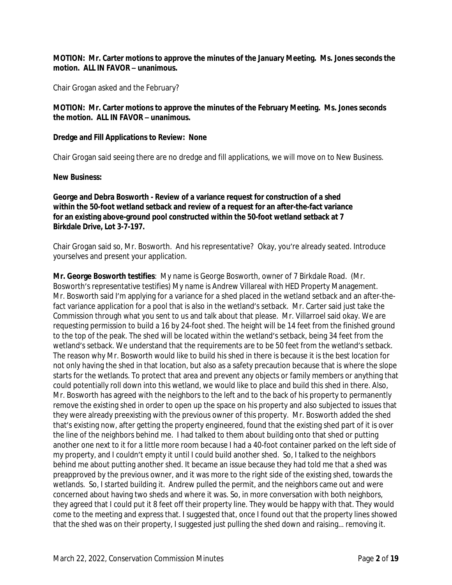## **MOTION: Mr. Carter motions to approve the minutes of the January Meeting. Ms. Jones seconds the motion. ALL IN FAVOR – unanimous.**

Chair Grogan asked and the February?

## **MOTION: Mr. Carter motions to approve the minutes of the February Meeting. Ms. Jones seconds the motion. ALL IN FAVOR – unanimous.**

#### **Dredge and Fill Applications to Review: None**

Chair Grogan said seeing there are no dredge and fill applications, we will move on to New Business.

#### **New Business:**

### **George and Debra Bosworth - Review of a variance request for construction of a shed within the 50-foot wetland setback and review of a request for an after-the-fact variance for an existing above-ground pool constructed within the 50-foot wetland setback at 7 Birkdale Drive, Lot 3-7-197.**

Chair Grogan said so, Mr. Bosworth. And his representative? Okay, you're already seated. Introduce yourselves and present your application.

**Mr. George Bosworth testifies**: My name is George Bosworth, owner of 7 Birkdale Road. (Mr. Bosworth's representative testifies) My name is Andrew Villareal with HED Property Management. Mr. Bosworth said I'm applying for a variance for a shed placed in the wetland setback and an after-thefact variance application for a pool that is also in the wetland's setback. Mr. Carter said just take the Commission through what you sent to us and talk about that please. Mr. Villarroel said okay. We are requesting permission to build a 16 by 24-foot shed. The height will be 14 feet from the finished ground to the top of the peak. The shed will be located within the wetland's setback, being 34 feet from the wetland's setback. We understand that the requirements are to be 50 feet from the wetland's setback. The reason why Mr. Bosworth would like to build his shed in there is because it is the best location for not only having the shed in that location, but also as a safety precaution because that is where the slope starts for the wetlands. To protect that area and prevent any objects or family members or anything that could potentially roll down into this wetland, we would like to place and build this shed in there. Also, Mr. Bosworth has agreed with the neighbors to the left and to the back of his property to permanently remove the existing shed in order to open up the space on his property and also subjected to issues that they were already preexisting with the previous owner of this property. Mr. Bosworth added the shed that's existing now, after getting the property engineered, found that the existing shed part of it is over the line of the neighbors behind me. I had talked to them about building onto that shed or putting another one next to it for a little more room because I had a 40-foot container parked on the left side of my property, and I couldn't empty it until I could build another shed. So, I talked to the neighbors behind me about putting another shed. It became an issue because they had told me that a shed was preapproved by the previous owner, and it was more to the right side of the existing shed, towards the wetlands. So, I started building it. Andrew pulled the permit, and the neighbors came out and were concerned about having two sheds and where it was. So, in more conversation with both neighbors, they agreed that I could put it 8 feet off their property line. They would be happy with that. They would come to the meeting and express that. I suggested that, once I found out that the property lines showed that the shed was on their property, I suggested just pulling the shed down and raising… removing it.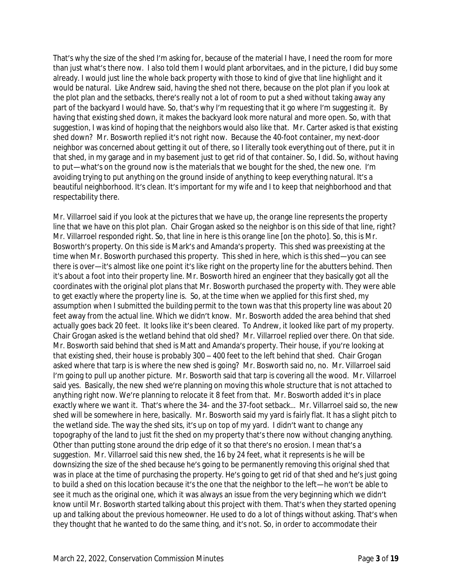That's why the size of the shed I'm asking for, because of the material I have, I need the room for more than just what's there now. I also told them I would plant arborvitaes, and in the picture, I did buy some already. I would just line the whole back property with those to kind of give that line highlight and it would be natural. Like Andrew said, having the shed not there, because on the plot plan if you look at the plot plan and the setbacks, there's really not a lot of room to put a shed without taking away any part of the backyard I would have. So, that's why I'm requesting that it go where I'm suggesting it. By having that existing shed down, it makes the backyard look more natural and more open. So, with that suggestion, I was kind of hoping that the neighbors would also like that. Mr. Carter asked is that existing shed down? Mr. Bosworth replied it's not right now. Because the 40-foot container, my next-door neighbor was concerned about getting it out of there, so I literally took everything out of there, put it in that shed, in my garage and in my basement just to get rid of that container. So, I did. So, without having to put—what's on the ground now is the materials that we bought for the shed, the new one. I'm avoiding trying to put anything on the ground inside of anything to keep everything natural. It's a beautiful neighborhood. It's clean. It's important for my wife and I to keep that neighborhood and that respectability there.

Mr. Villarroel said if you look at the pictures that we have up, the orange line represents the property line that we have on this plot plan. Chair Grogan asked so the neighbor is on this side of that line, right? Mr. Villarroel responded right. So, that line in here is this orange line [on the photo]. So, this is Mr. Bosworth's property. On this side is Mark's and Amanda's property. This shed was preexisting at the time when Mr. Bosworth purchased this property. This shed in here, which is this shed—you can see there is over—it's almost like one point it's like right on the property line for the abutters behind. Then it's about a foot into their property line. Mr. Bosworth hired an engineer that they basically got all the coordinates with the original plot plans that Mr. Bosworth purchased the property with. They were able to get exactly where the property line is. So, at the time when we applied for this first shed, my assumption when I submitted the building permit to the town was that this property line was about 20 feet away from the actual line. Which we didn't know. Mr. Bosworth added the area behind that shed actually goes back 20 feet. It looks like it's been cleared. To Andrew, it looked like part of my property. Chair Grogan asked is the wetland behind that old shed? Mr. Villarroel replied over there. On that side. Mr. Bosworth said behind that shed is Matt and Amanda's property. Their house, if you're looking at that existing shed, their house is probably 300 – 400 feet to the left behind that shed. Chair Grogan asked where that tarp is is where the new shed is going? Mr. Bosworth said no, no. Mr. Villarroel said I'm going to pull up another picture. Mr. Bosworth said that tarp is covering all the wood. Mr. Villarroel said yes. Basically, the new shed we're planning on moving this whole structure that is not attached to anything right now. We're planning to relocate it 8 feet from that. Mr. Bosworth added it's in place exactly where we want it. That's where the 34- and the 37-foot setback… Mr. Villarroel said so, the new shed will be somewhere in here, basically. Mr. Bosworth said my yard is fairly flat. It has a slight pitch to the wetland side. The way the shed sits, it's up on top of my yard. I didn't want to change any topography of the land to just fit the shed on my property that's there now without changing anything. Other than putting stone around the drip edge of it so that there's no erosion. I mean that's a suggestion. Mr. Villarroel said this new shed, the 16 by 24 feet, what it represents is he will be downsizing the size of the shed because he's going to be permanently removing this original shed that was in place at the time of purchasing the property. He's going to get rid of that shed and he's just going to build a shed on this location because it's the one that the neighbor to the left—he won't be able to see it much as the original one, which it was always an issue from the very beginning which we didn't know until Mr. Bosworth started talking about this project with them. That's when they started opening up and talking about the previous homeowner. He used to do a lot of things without asking. That's when they thought that he wanted to do the same thing, and it's not. So, in order to accommodate their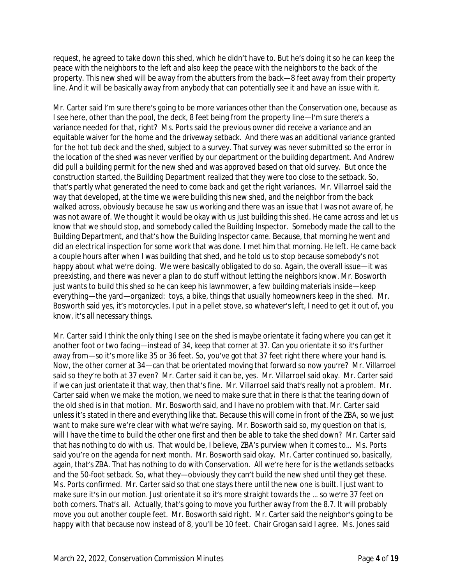request, he agreed to take down this shed, which he didn't have to. But he's doing it so he can keep the peace with the neighbors to the left and also keep the peace with the neighbors to the back of the property. This new shed will be away from the abutters from the back—8 feet away from their property line. And it will be basically away from anybody that can potentially see it and have an issue with it.

Mr. Carter said I'm sure there's going to be more variances other than the Conservation one, because as I see here, other than the pool, the deck, 8 feet being from the property line—I'm sure there's a variance needed for that, right? Ms. Ports said the previous owner did receive a variance and an equitable waiver for the home and the driveway setback. And there was an additional variance granted for the hot tub deck and the shed, subject to a survey. That survey was never submitted so the error in the location of the shed was never verified by our department or the building department. And Andrew did pull a building permit for the new shed and was approved based on that old survey. But once the construction started, the Building Department realized that they were too close to the setback. So, that's partly what generated the need to come back and get the right variances. Mr. Villarroel said the way that developed, at the time we were building this new shed, and the neighbor from the back walked across, obviously because he saw us working and there was an issue that I was not aware of, he was not aware of. We thought it would be okay with us just building this shed. He came across and let us know that we should stop, and somebody called the Building Inspector. Somebody made the call to the Building Department, and that's how the Building Inspector came. Because, that morning he went and did an electrical inspection for some work that was done. I met him that morning. He left. He came back a couple hours after when I was building that shed, and he told us to stop because somebody's not happy about what we're doing. We were basically obligated to do so. Again, the overall issue—it was preexisting, and there was never a plan to do stuff without letting the neighbors know. Mr. Bosworth just wants to build this shed so he can keep his lawnmower, a few building materials inside—keep everything—the yard—organized: toys, a bike, things that usually homeowners keep in the shed. Mr. Bosworth said yes, it's motorcycles. I put in a pellet stove, so whatever's left, I need to get it out of, you know, it's all necessary things.

Mr. Carter said I think the only thing I see on the shed is maybe orientate it facing where you can get it another foot or two facing—instead of 34, keep that corner at 37. Can you orientate it so it's further away from—so it's more like 35 or 36 feet. So, you've got that 37 feet right there where your hand is. Now, the other corner at 34—can that be orientated moving that forward so now you're? Mr. Villarroel said so they're both at 37 even? Mr. Carter said it can be, yes. Mr. Villarroel said okay. Mr. Carter said if we can just orientate it that way, then that's fine. Mr. Villarroel said that's really not a problem. Mr. Carter said when we make the motion, we need to make sure that in there is that the tearing down of the old shed is in that motion. Mr. Bosworth said, and I have no problem with that. Mr. Carter said unless it's stated in there and everything like that. Because this will come in front of the ZBA, so we just want to make sure we're clear with what we're saying. Mr. Bosworth said so, my question on that is, will I have the time to build the other one first and then be able to take the shed down? Mr. Carter said that has nothing to do with us. That would be, I believe, ZBA's purview when it comes to… Ms. Ports said you're on the agenda for next month. Mr. Bosworth said okay. Mr. Carter continued so, basically, again, that's ZBA. That has nothing to do with Conservation. All we're here for is the wetlands setbacks and the 50-foot setback. So, what they—obviously they can't build the new shed until they get these. Ms. Ports confirmed. Mr. Carter said so that one stays there until the new one is built. I just want to make sure it's in our motion. Just orientate it so it's more straight towards the … so we're 37 feet on both corners. That's all. Actually, that's going to move you further away from the 8.7. It will probably move you out another couple feet. Mr. Bosworth said right. Mr. Carter said the neighbor's going to be happy with that because now instead of 8, you'll be 10 feet. Chair Grogan said I agree. Ms. Jones said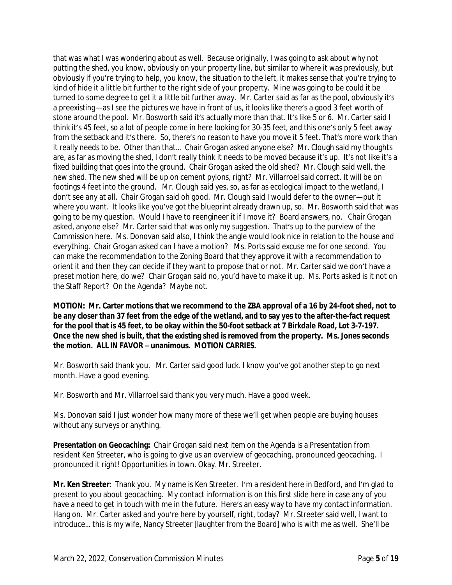that was what I was wondering about as well. Because originally, I was going to ask about why not putting the shed, you know, obviously on your property line, but similar to where it was previously, but obviously if you're trying to help, you know, the situation to the left, it makes sense that you're trying to kind of hide it a little bit further to the right side of your property. Mine was going to be could it be turned to some degree to get it a little bit further away. Mr. Carter said as far as the pool, obviously it's a preexisting—as I see the pictures we have in front of us, it looks like there's a good 3 feet worth of stone around the pool. Mr. Bosworth said it's actually more than that. It's like 5 or 6. Mr. Carter said I think it's 45 feet, so a lot of people come in here looking for 30-35 feet, and this one's only 5 feet away from the setback and it's there. So, there's no reason to have you move it 5 feet. That's more work than it really needs to be. Other than that… Chair Grogan asked anyone else? Mr. Clough said my thoughts are, as far as moving the shed, I don't really think it needs to be moved because it's up. It's not like it's a fixed building that goes into the ground. Chair Grogan asked the old shed? Mr. Clough said well, the new shed. The new shed will be up on cement pylons, right? Mr. Villarroel said correct. It will be on footings 4 feet into the ground. Mr. Clough said yes, so, as far as ecological impact to the wetland, I don't see any at all. Chair Grogan said oh good. Mr. Clough said I would defer to the owner—put it where you want. It looks like you've got the blueprint already drawn up, so. Mr. Bosworth said that was going to be my question. Would I have to reengineer it if I move it? Board answers, no. Chair Grogan asked, anyone else? Mr. Carter said that was only my suggestion. That's up to the purview of the Commission here. Ms. Donovan said also, I think the angle would look nice in relation to the house and everything. Chair Grogan asked can I have a motion? Ms. Ports said excuse me for one second. You can make the recommendation to the Zoning Board that they approve it with a recommendation to orient it and then they can decide if they want to propose that or not. Mr. Carter said we don't have a preset motion here, do we? Chair Grogan said no, you'd have to make it up. Ms. Ports asked is it not on the Staff Report? On the Agenda? Maybe not.

**MOTION: Mr. Carter motions that we recommend to the ZBA approval of a 16 by 24-foot shed, not to be any closer than 37 feet from the edge of the wetland, and to say yes to the after-the-fact request for the pool that is 45 feet, to be okay within the 50-foot setback at 7 Birkdale Road, Lot 3-7-197. Once the new shed is built, that the existing shed is removed from the property. Ms. Jones seconds the motion. ALL IN FAVOR – unanimous. MOTION CARRIES.**

Mr. Bosworth said thank you. Mr. Carter said good luck. I know you've got another step to go next month. Have a good evening.

Mr. Bosworth and Mr. Villarroel said thank you very much. Have a good week.

Ms. Donovan said I just wonder how many more of these we'll get when people are buying houses without any surveys or anything.

**Presentation on Geocaching:** Chair Grogan said next item on the Agenda is a Presentation from resident Ken Streeter, who is going to give us an overview of geocaching, pronounced geocaching. I pronounced it right! Opportunities in town. Okay. Mr. Streeter.

**Mr. Ken Streeter**: Thank you. My name is Ken Streeter. I'm a resident here in Bedford, and I'm glad to present to you about geocaching. My contact information is on this first slide here in case any of you have a need to get in touch with me in the future. Here's an easy way to have my contact information. Hang on. Mr. Carter asked and you're here by yourself, right, today? Mr. Streeter said well, I want to introduce… this is my wife, Nancy Streeter [laughter from the Board] who is with me as well. She'll be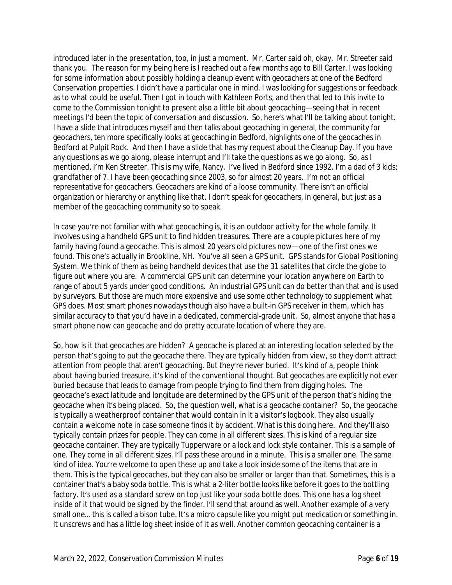introduced later in the presentation, too, in just a moment. Mr. Carter said oh, okay. Mr. Streeter said thank you. The reason for my being here is I reached out a few months ago to Bill Carter. I was looking for some information about possibly holding a cleanup event with geocachers at one of the Bedford Conservation properties. I didn't have a particular one in mind. I was looking for suggestions or feedback as to what could be useful. Then I got in touch with Kathleen Ports, and then that led to this invite to come to the Commission tonight to present also a little bit about geocaching—seeing that in recent meetings I'd been the topic of conversation and discussion. So, here's what I'll be talking about tonight. I have a slide that introduces myself and then talks about geocaching in general, the community for geocachers, ten more specifically looks at geocaching in Bedford, highlights one of the geocaches in Bedford at Pulpit Rock. And then I have a slide that has my request about the Cleanup Day. If you have any questions as we go along, please interrupt and I'll take the questions as we go along. So, as I mentioned, I'm Ken Streeter. This is my wife, Nancy. I've lived in Bedford since 1992. I'm a dad of 3 kids; grandfather of 7. I have been geocaching since 2003, so for almost 20 years. I'm not an official representative for geocachers. Geocachers are kind of a loose community. There isn't an official organization or hierarchy or anything like that. I don't speak for geocachers, in general, but just as a member of the geocaching community so to speak.

In case you're not familiar with what geocaching is, it is an outdoor activity for the whole family. It involves using a handheld GPS unit to find hidden treasures. There are a couple pictures here of my family having found a geocache. This is almost 20 years old pictures now—one of the first ones we found. This one's actually in Brookline, NH. You've all seen a GPS unit. GPS stands for Global Positioning System. We think of them as being handheld devices that use the 31 satellites that circle the globe to figure out where you are. A commercial GPS unit can determine your location anywhere on Earth to range of about 5 yards under good conditions. An industrial GPS unit can do better than that and is used by surveyors. But those are much more expensive and use some other technology to supplement what GPS does. Most smart phones nowadays though also have a built-in GPS receiver in them, which has similar accuracy to that you'd have in a dedicated, commercial-grade unit. So, almost anyone that has a smart phone now can geocache and do pretty accurate location of where they are.

So, how is it that geocaches are hidden? A geocache is placed at an interesting location selected by the person that's going to put the geocache there. They are typically hidden from view, so they don't attract attention from people that aren't geocaching. But they're never buried. It's kind of a, people think about having buried treasure, it's kind of the conventional thought. But geocaches are explicitly not ever buried because that leads to damage from people trying to find them from digging holes. The geocache's exact latitude and longitude are determined by the GPS unit of the person that's hiding the geocache when it's being placed. So, the question well, what is a geocache container? So, the geocache is typically a weatherproof container that would contain in it a visitor's logbook. They also usually contain a welcome note in case someone finds it by accident. What is this doing here. And they'll also typically contain prizes for people. They can come in all different sizes. This is kind of a regular size geocache container. They are typically Tupperware or a lock and lock style container. This is a sample of one. They come in all different sizes. I'll pass these around in a minute. This is a smaller one. The same kind of idea. You're welcome to open these up and take a look inside some of the items that are in them. This is the typical geocaches, but they can also be smaller or larger than that. Sometimes, this is a container that's a baby soda bottle. This is what a 2-liter bottle looks like before it goes to the bottling factory. It's used as a standard screw on top just like your soda bottle does. This one has a log sheet inside of it that would be signed by the finder. I'll send that around as well. Another example of a very small one… this is called a bison tube. It's a micro capsule like you might put medication or something in. It unscrews and has a little log sheet inside of it as well. Another common geocaching container is a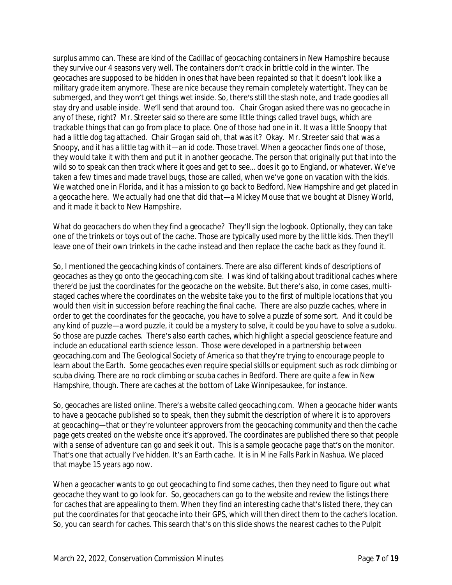surplus ammo can. These are kind of the Cadillac of geocaching containers in New Hampshire because they survive our 4 seasons very well. The containers don't crack in brittle cold in the winter. The geocaches are supposed to be hidden in ones that have been repainted so that it doesn't look like a military grade item anymore. These are nice because they remain completely watertight. They can be submerged, and they won't get things wet inside. So, there's still the stash note, and trade goodies all stay dry and usable inside. We'll send that around too. Chair Grogan asked there was no geocache in any of these, right? Mr. Streeter said so there are some little things called travel bugs, which are trackable things that can go from place to place. One of those had one in it. It was a little Snoopy that had a little dog tag attached. Chair Grogan said oh, that was it? Okay. Mr. Streeter said that was a Snoopy, and it has a little tag with it—an id code. Those travel. When a geocacher finds one of those, they would take it with them and put it in another geocache. The person that originally put that into the wild so to speak can then track where it goes and get to see… does it go to England, or whatever. We've taken a few times and made travel bugs, those are called, when we've gone on vacation with the kids. We watched one in Florida, and it has a mission to go back to Bedford, New Hampshire and get placed in a geocache here. We actually had one that did that—a Mickey Mouse that we bought at Disney World, and it made it back to New Hampshire.

What do geocachers do when they find a geocache? They'll sign the logbook. Optionally, they can take one of the trinkets or toys out of the cache. Those are typically used more by the little kids. Then they'll leave one of their own trinkets in the cache instead and then replace the cache back as they found it.

So, I mentioned the geocaching kinds of containers. There are also different kinds of descriptions of geocaches as they go onto the geocaching.com site. I was kind of talking about traditional caches where there'd be just the coordinates for the geocache on the website. But there's also, in come cases, multistaged caches where the coordinates on the website take you to the first of multiple locations that you would then visit in succession before reaching the final cache. There are also puzzle caches, where in order to get the coordinates for the geocache, you have to solve a puzzle of some sort. And it could be any kind of puzzle—a word puzzle, it could be a mystery to solve, it could be you have to solve a sudoku. So those are puzzle caches. There's also earth caches, which highlight a special geoscience feature and include an educational earth science lesson. Those were developed in a partnership between geocaching.com and The Geological Society of America so that they're trying to encourage people to learn about the Earth. Some geocaches even require special skills or equipment such as rock climbing or scuba diving. There are no rock climbing or scuba caches in Bedford. There are quite a few in New Hampshire, though. There are caches at the bottom of Lake Winnipesaukee, for instance.

So, geocaches are listed online. There's a website called geocaching.com. When a geocache hider wants to have a geocache published so to speak, then they submit the description of where it is to approvers at geocaching—that or they're volunteer approvers from the geocaching community and then the cache page gets created on the website once it's approved. The coordinates are published there so that people with a sense of adventure can go and seek it out. This is a sample geocache page that's on the monitor. That's one that actually I've hidden. It's an Earth cache. It is in Mine Falls Park in Nashua. We placed that maybe 15 years ago now.

When a geocacher wants to go out geocaching to find some caches, then they need to figure out what geocache they want to go look for. So, geocachers can go to the website and review the listings there for caches that are appealing to them. When they find an interesting cache that's listed there, they can put the coordinates for that geocache into their GPS, which will then direct them to the cache's location. So, you can search for caches. This search that's on this slide shows the nearest caches to the Pulpit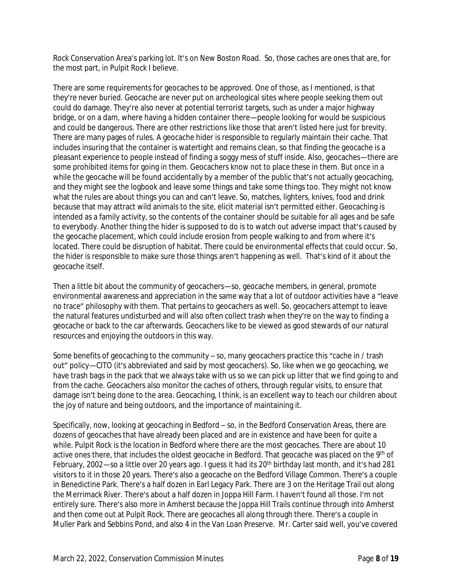Rock Conservation Area's parking lot. It's on New Boston Road. So, those caches are ones that are, for the most part, in Pulpit Rock I believe.

There are some requirements for geocaches to be approved. One of those, as I mentioned, is that they're never buried. Geocache are never put on archeological sites where people seeking them out could do damage. They're also never at potential terrorist targets, such as under a major highway bridge, or on a dam, where having a hidden container there—people looking for would be suspicious and could be dangerous. There are other restrictions like those that aren't listed here just for brevity. There are many pages of rules. A geocache hider is responsible to regularly maintain their cache. That includes insuring that the container is watertight and remains clean, so that finding the geocache is a pleasant experience to people instead of finding a soggy mess of stuff inside. Also, geocaches—there are some prohibited items for going in them. Geocachers know not to place these in them. But once in a while the geocache will be found accidentally by a member of the public that's not actually geocaching, and they might see the logbook and leave some things and take some things too. They might not know what the rules are about things you can and can't leave. So, matches, lighters, knives, food and drink because that may attract wild animals to the site, elicit material isn't permitted either. Geocaching is intended as a family activity, so the contents of the container should be suitable for all ages and be safe to everybody. Another thing the hider is supposed to do is to watch out adverse impact that's caused by the geocache placement, which could include erosion from people walking to and from where it's located. There could be disruption of habitat. There could be environmental effects that could occur. So, the hider is responsible to make sure those things aren't happening as well. That's kind of it about the geocache itself.

Then a little bit about the community of geocachers—so, geocache members, in general, promote environmental awareness and appreciation in the same way that a lot of outdoor activities have a "leave no trace" philosophy with them. That pertains to geocachers as well. So, geocachers attempt to leave the natural features undisturbed and will also often collect trash when they're on the way to finding a geocache or back to the car afterwards. Geocachers like to be viewed as good stewards of our natural resources and enjoying the outdoors in this way.

Some benefits of geocaching to the community – so, many geocachers practice this "cache in / trash out" policy—CITO (it's abbreviated and said by most geocachers). So, like when we go geocaching, we have trash bags in the pack that we always take with us so we can pick up litter that we find going to and from the cache. Geocachers also monitor the caches of others, through regular visits, to ensure that damage isn't being done to the area. Geocaching, I think, is an excellent way to teach our children about the joy of nature and being outdoors, and the importance of maintaining it.

Specifically, now, looking at geocaching in Bedford – so, in the Bedford Conservation Areas, there are dozens of geocaches that have already been placed and are in existence and have been for quite a while. Pulpit Rock is the location in Bedford where there are the most geocaches. There are about 10 active ones there, that includes the oldest geocache in Bedford. That geocache was placed on the 9th of February, 2002—so a little over 20 years ago. I guess it had its 20<sup>th</sup> birthday last month, and it's had 281 visitors to it in those 20 years. There's also a geocache on the Bedford Village Common. There's a couple in Benedictine Park. There's a half dozen in Earl Legacy Park. There are 3 on the Heritage Trail out along the Merrimack River. There's about a half dozen in Joppa Hill Farm. I haven't found all those. I'm not entirely sure. There's also more in Amherst because the Joppa Hill Trails continue through into Amherst and then come out at Pulpit Rock. There are geocaches all along through there. There's a couple in Muller Park and Sebbins Pond, and also 4 in the Van Loan Preserve. Mr. Carter said well, you've covered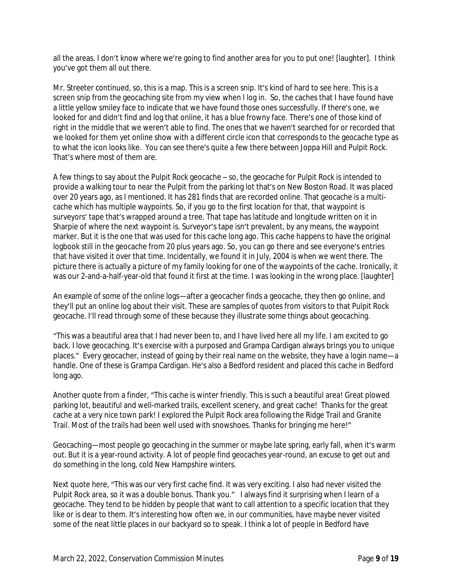all the areas. I don't know where we're going to find another area for you to put one! [laughter]. I think you've got them all out there.

Mr. Streeter continued, so, this is a map. This is a screen snip. It's kind of hard to see here. This is a screen snip from the geocaching site from my view when I log in. So, the caches that I have found have a little yellow smiley face to indicate that we have found those ones successfully. If there's one, we looked for and didn't find and log that online, it has a blue frowny face. There's one of those kind of right in the middle that we weren't able to find. The ones that we haven't searched for or recorded that we looked for them yet online show with a different circle icon that corresponds to the geocache type as to what the icon looks like. You can see there's quite a few there between Joppa Hill and Pulpit Rock. That's where most of them are.

A few things to say about the Pulpit Rock geocache – so, the geocache for Pulpit Rock is intended to provide a walking tour to near the Pulpit from the parking lot that's on New Boston Road. It was placed over 20 years ago, as I mentioned. It has 281 finds that are recorded online. That geocache is a multicache which has multiple waypoints. So, if you go to the first location for that, that waypoint is surveyors' tape that's wrapped around a tree. That tape has latitude and longitude written on it in Sharpie of where the next waypoint is. Surveyor's tape isn't prevalent, by any means, the waypoint marker. But it is the one that was used for this cache long ago. This cache happens to have the original logbook still in the geocache from 20 plus years ago. So, you can go there and see everyone's entries that have visited it over that time. Incidentally, we found it in July, 2004 is when we went there. The picture there is actually a picture of my family looking for one of the waypoints of the cache. Ironically, it was our 2-and-a-half-year-old that found it first at the time. I was looking in the wrong place. [laughter]

An example of some of the online logs—after a geocacher finds a geocache, they then go online, and they'll put an online log about their visit. These are samples of quotes from visitors to that Pulpit Rock geocache. I'll read through some of these because they illustrate some things about geocaching.

"This was a beautiful area that I had never been to, and I have lived here all my life. I am excited to go back. I love geocaching. It's exercise with a purposed and Grampa Cardigan always brings you to unique places." Every geocacher, instead of going by their real name on the website, they have a login name—a handle. One of these is Grampa Cardigan. He's also a Bedford resident and placed this cache in Bedford long ago.

Another quote from a finder, "This cache is winter friendly. This is such a beautiful area! Great plowed parking lot, beautiful and well-marked trails, excellent scenery, and great cache! Thanks for the great cache at a very nice town park! I explored the Pulpit Rock area following the Ridge Trail and Granite Trail. Most of the trails had been well used with snowshoes. Thanks for bringing me here!"

Geocaching—most people go geocaching in the summer or maybe late spring, early fall, when it's warm out. But it is a year-round activity. A lot of people find geocaches year-round, an excuse to get out and do something in the long, cold New Hampshire winters.

Next quote here, "This was our very first cache find. It was very exciting. I also had never visited the Pulpit Rock area, so it was a double bonus. Thank you." I always find it surprising when I learn of a geocache. They tend to be hidden by people that want to call attention to a specific location that they like or is dear to them. It's interesting how often we, in our communities, have maybe never visited some of the neat little places in our backyard so to speak. I think a lot of people in Bedford have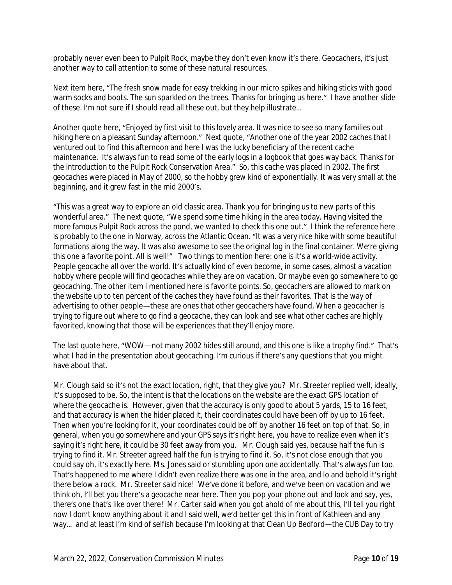probably never even been to Pulpit Rock, maybe they don't even know it's there. Geocachers, it's just another way to call attention to some of these natural resources.

Next item here, "The fresh snow made for easy trekking in our micro spikes and hiking sticks with good warm socks and boots. The sun sparkled on the trees. Thanks for bringing us here." I have another slide of these. I'm not sure if I should read all these out, but they help illustrate…

Another quote here, "Enjoyed by first visit to this lovely area. It was nice to see so many families out hiking here on a pleasant Sunday afternoon." Next quote, "Another one of the year 2002 caches that I ventured out to find this afternoon and here I was the lucky beneficiary of the recent cache maintenance. It's always fun to read some of the early logs in a logbook that goes way back. Thanks for the introduction to the Pulpit Rock Conservation Area." So, this cache was placed in 2002. The first geocaches were placed in May of 2000, so the hobby grew kind of exponentially. It was very small at the beginning, and it grew fast in the mid 2000's.

"This was a great way to explore an old classic area. Thank you for bringing us to new parts of this wonderful area." The next quote, "We spend some time hiking in the area today. Having visited the more famous Pulpit Rock across the pond, we wanted to check this one out." I think the reference here is probably to the one in Norway, across the Atlantic Ocean. "It was a very nice hike with some beautiful formations along the way. It was also awesome to see the original log in the final container. We're giving this one a favorite point. All is well!" Two things to mention here: one is it's a world-wide activity. People geocache all over the world. It's actually kind of even become, in some cases, almost a vacation hobby where people will find geocaches while they are on vacation. Or maybe even go somewhere to go geocaching. The other item I mentioned here is favorite points. So, geocachers are allowed to mark on the website up to ten percent of the caches they have found as their favorites. That is the way of advertising to other people—these are ones that other geocachers have found. When a geocacher is trying to figure out where to go find a geocache, they can look and see what other caches are highly favorited, knowing that those will be experiences that they'll enjoy more.

The last quote here, "WOW—not many 2002 hides still around, and this one is like a trophy find." That's what I had in the presentation about geocaching. I'm curious if there's any questions that you might have about that.

Mr. Clough said so it's not the exact location, right, that they give you? Mr. Streeter replied well, ideally, it's supposed to be. So, the intent is that the locations on the website are the exact GPS location of where the geocache is. However, given that the accuracy is only good to about 5 yards, 15 to 16 feet, and that accuracy is when the hider placed it, their coordinates could have been off by up to 16 feet. Then when you're looking for it, your coordinates could be off by another 16 feet on top of that. So, in general, when you go somewhere and your GPS says it's right here, you have to realize even when it's saying it's right here, it could be 30 feet away from you. Mr. Clough said yes, because half the fun is trying to find it. Mr. Streeter agreed half the fun is trying to find it. So, it's not close enough that you could say oh, it's exactly here. Ms. Jones said or stumbling upon one accidentally. That's always fun too. That's happened to me where I didn't even realize there was one in the area, and lo and behold it's right there below a rock. Mr. Streeter said nice! We've done it before, and we've been on vacation and we think oh, I'll bet you there's a geocache near here. Then you pop your phone out and look and say, yes, there's one that's like over there! Mr. Carter said when you got ahold of me about this, I'll tell you right now I don't know anything about it and I said well, we'd better get this in front of Kathleen and any way... and at least I'm kind of selfish because I'm looking at that Clean Up Bedford—the CUB Day to try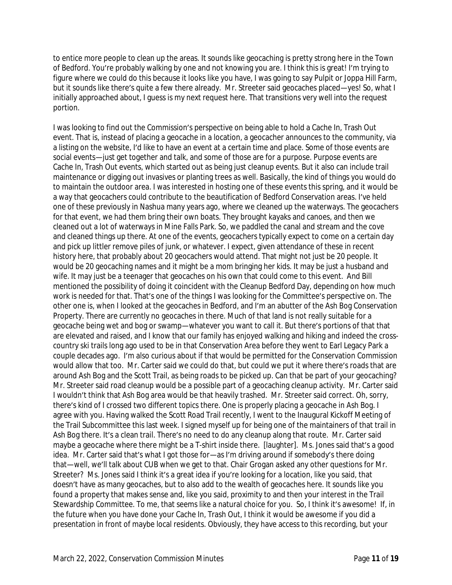to entice more people to clean up the areas. It sounds like geocaching is pretty strong here in the Town of Bedford. You're probably walking by one and not knowing you are. I think this is great! I'm trying to figure where we could do this because it looks like you have, I was going to say Pulpit or Joppa Hill Farm, but it sounds like there's quite a few there already. Mr. Streeter said geocaches placed—yes! So, what I initially approached about, I guess is my next request here. That transitions very well into the request portion.

I was looking to find out the Commission's perspective on being able to hold a Cache In, Trash Out event. That is, instead of placing a geocache in a location, a geocacher announces to the community, via a listing on the website, I'd like to have an event at a certain time and place. Some of those events are social events—just get together and talk, and some of those are for a purpose. Purpose events are Cache In, Trash Out events, which started out as being just cleanup events. But it also can include trail maintenance or digging out invasives or planting trees as well. Basically, the kind of things you would do to maintain the outdoor area. I was interested in hosting one of these events this spring, and it would be a way that geocachers could contribute to the beautification of Bedford Conservation areas. I've held one of these previously in Nashua many years ago, where we cleaned up the waterways. The geocachers for that event, we had them bring their own boats. They brought kayaks and canoes, and then we cleaned out a lot of waterways in Mine Falls Park. So, we paddled the canal and stream and the cove and cleaned things up there. At one of the events, geocachers typically expect to come on a certain day and pick up littler remove piles of junk, or whatever. I expect, given attendance of these in recent history here, that probably about 20 geocachers would attend. That might not just be 20 people. It would be 20 geocaching names and it might be a mom bringing her kids. It may be just a husband and wife. It may just be a teenager that geocaches on his own that could come to this event. And Bill mentioned the possibility of doing it coincident with the Cleanup Bedford Day, depending on how much work is needed for that. That's one of the things I was looking for the Committee's perspective on. The other one is, when I looked at the geocaches in Bedford, and I'm an abutter of the Ash Bog Conservation Property. There are currently no geocaches in there. Much of that land is not really suitable for a geocache being wet and bog or swamp—whatever you want to call it. But there's portions of that that are elevated and raised, and I know that our family has enjoyed walking and hiking and indeed the crosscountry ski trails long ago used to be in that Conservation Area before they went to Earl Legacy Park a couple decades ago. I'm also curious about if that would be permitted for the Conservation Commission would allow that too. Mr. Carter said we could do that, but could we put it where there's roads that are around Ash Bog and the Scott Trail, as being roads to be picked up. Can that be part of your geocaching? Mr. Streeter said road cleanup would be a possible part of a geocaching cleanup activity. Mr. Carter said I wouldn't think that Ash Bog area would be that heavily trashed. Mr. Streeter said correct. Oh, sorry, there's kind of I crossed two different topics there. One is properly placing a geocache in Ash Bog. I agree with you. Having walked the Scott Road Trail recently, I went to the Inaugural Kickoff Meeting of the Trail Subcommittee this last week. I signed myself up for being one of the maintainers of that trail in Ash Bog there. It's a clean trail. There's no need to do any cleanup along that route. Mr. Carter said maybe a geocache where there might be a T-shirt inside there. [laughter]. Ms. Jones said that's a good idea. Mr. Carter said that's what I got those for—as I'm driving around if somebody's there doing that—well, we'll talk about CUB when we get to that. Chair Grogan asked any other questions for Mr. Streeter? Ms. Jones said I think it's a great idea if you're looking for a location, like you said, that doesn't have as many geocaches, but to also add to the wealth of geocaches here. It sounds like you found a property that makes sense and, like you said, proximity to and then your interest in the Trail Stewardship Committee. To me, that seems like a natural choice for you. So, I think it's awesome! If, in the future when you have done your Cache In, Trash Out, I think it would be awesome if you did a presentation in front of maybe local residents. Obviously, they have access to this recording, but your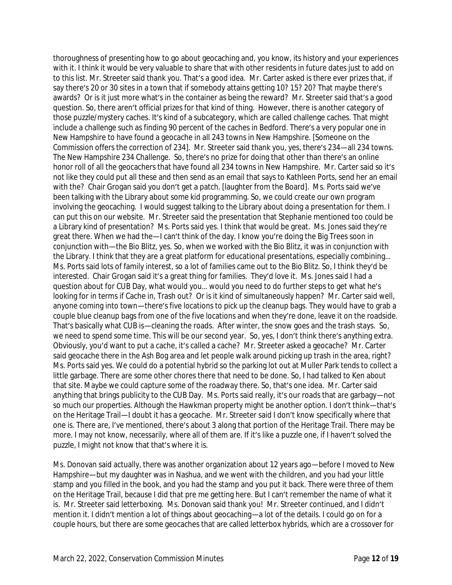thoroughness of presenting how to go about geocaching and, you know, its history and your experiences with it. I think it would be very valuable to share that with other residents in future dates just to add on to this list. Mr. Streeter said thank you. That's a good idea. Mr. Carter asked is there ever prizes that, if say there's 20 or 30 sites in a town that if somebody attains getting 10? 15? 20? That maybe there's awards? Or is it just more what's in the container as being the reward? Mr. Streeter said that's a good question. So, there aren't official prizes for that kind of thing. However, there is another category of those puzzle/mystery caches. It's kind of a subcategory, which are called challenge caches. That might include a challenge such as finding 90 percent of the caches in Bedford. There's a very popular one in New Hampshire to have found a geocache in all 243 towns in New Hampshire. [Someone on the Commission offers the correction of 234]. Mr. Streeter said thank you, yes, there's 234—all 234 towns. The New Hampshire 234 Challenge. So, there's no prize for doing that other than there's an online honor roll of all the geocachers that have found all 234 towns in New Hampshire. Mr. Carter said so it's not like they could put all these and then send as an email that says to Kathleen Ports, send her an email with the? Chair Grogan said you don't get a patch. [laughter from the Board]. Ms. Ports said we've been talking with the Library about some kid programming. So, we could create our own program involving the geocaching. I would suggest talking to the Library about doing a presentation for them. I can put this on our website. Mr. Streeter said the presentation that Stephanie mentioned too could be a Library kind of presentation? Ms. Ports said yes. I think that would be great. Ms. Jones said they're great there. When we had the—I can't think of the day. I know you're doing the Big Trees soon in conjunction with—the Bio Blitz, yes. So, when we worked with the Bio Blitz, it was in conjunction with the Library. I think that they are a great platform for educational presentations, especially combining… Ms. Ports said lots of family interest, so a lot of families came out to the Bio Blitz. So, I think they'd be interested. Chair Grogan said it's a great thing for families. They'd love it. Ms. Jones said I had a question about for CUB Day, what would you… would you need to do further steps to get what he's looking for in terms if Cache in, Trash out? Or is it kind of simultaneously happen? Mr. Carter said well, anyone coming into town—there's five locations to pick up the cleanup bags. They would have to grab a couple blue cleanup bags from one of the five locations and when they're done, leave it on the roadside. That's basically what CUB is—cleaning the roads. After winter, the snow goes and the trash stays. So, we need to spend some time. This will be our second year. So, yes, I don't think there's anything extra. Obviously, you'd want to put a cache, it's called a cache? Mr. Streeter asked a geocache? Mr. Carter said geocache there in the Ash Bog area and let people walk around picking up trash in the area, right? Ms. Ports said yes. We could do a potential hybrid so the parking lot out at Muller Park tends to collect a little garbage. There are some other chores there that need to be done. So, I had talked to Ken about that site. Maybe we could capture some of the roadway there. So, that's one idea. Mr. Carter said anything that brings publicity to the CUB Day. Ms. Ports said really, it's our roads that are garbagy—not so much our properties. Although the Hawkman property might be another option. I don't think—that's on the Heritage Trail—I doubt it has a geocache. Mr. Streeter said I don't know specifically where that one is. There are, I've mentioned, there's about 3 along that portion of the Heritage Trail. There may be more. I may not know, necessarily, where all of them are. If it's like a puzzle one, if I haven't solved the puzzle, I might not know that that's where it is.

Ms. Donovan said actually, there was another organization about 12 years ago—before I moved to New Hampshire—but my daughter was in Nashua, and we went with the children, and you had your little stamp and you filled in the book, and you had the stamp and you put it back. There were three of them on the Heritage Trail, because I did that pre me getting here. But I can't remember the name of what it is. Mr. Streeter said letterboxing. Ms. Donovan said thank you! Mr. Streeter continued, and I didn't mention it. I didn't mention a lot of things about geocaching—a lot of the details. I could go on for a couple hours, but there are some geocaches that are called letterbox hybrids, which are a crossover for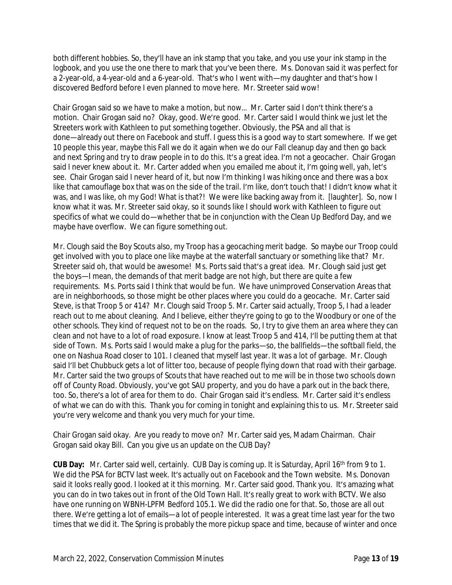both different hobbies. So, they'll have an ink stamp that you take, and you use your ink stamp in the logbook, and you use the one there to mark that you've been there. Ms. Donovan said it was perfect for a 2-year-old, a 4-year-old and a 6-year-old. That's who I went with—my daughter and that's how I discovered Bedford before I even planned to move here. Mr. Streeter said wow!

Chair Grogan said so we have to make a motion, but now… Mr. Carter said I don't think there's a motion. Chair Grogan said no? Okay, good. We're good. Mr. Carter said I would think we just let the Streeters work with Kathleen to put something together. Obviously, the PSA and all that is done—already out there on Facebook and stuff. I guess this is a good way to start somewhere. If we get 10 people this year, maybe this Fall we do it again when we do our Fall cleanup day and then go back and next Spring and try to draw people in to do this. It's a great idea. I'm not a geocacher. Chair Grogan said I never knew about it. Mr. Carter added when you emailed me about it, I'm going well, yah, let's see. Chair Grogan said I never heard of it, but now I'm thinking I was hiking once and there was a box like that camouflage box that was on the side of the trail. I'm like, don't touch that! I didn't know what it was, and I was like, oh my God! What is that?! We were like backing away from it. [laughter]. So, now I know what it was. Mr. Streeter said okay, so it sounds like I should work with Kathleen to figure out specifics of what we could do—whether that be in conjunction with the Clean Up Bedford Day, and we maybe have overflow. We can figure something out.

Mr. Clough said the Boy Scouts also, my Troop has a geocaching merit badge. So maybe our Troop could get involved with you to place one like maybe at the waterfall sanctuary or something like that? Mr. Streeter said oh, that would be awesome! Ms. Ports said that's a great idea. Mr. Clough said just get the boys—I mean, the demands of that merit badge are not high, but there are quite a few requirements. Ms. Ports said I think that would be fun. We have unimproved Conservation Areas that are in neighborhoods, so those might be other places where you could do a geocache. Mr. Carter said Steve, is that Troop 5 or 414? Mr. Clough said Troop 5. Mr. Carter said actually, Troop 5, I had a leader reach out to me about cleaning. And I believe, either they're going to go to the Woodbury or one of the other schools. They kind of request not to be on the roads. So, I try to give them an area where they can clean and not have to a lot of road exposure. I know at least Troop 5 and 414, I'll be putting them at that side of Town. Ms. Ports said I would make a plug for the parks—so, the ballfields—the softball field, the one on Nashua Road closer to 101. I cleaned that myself last year. It was a lot of garbage. Mr. Clough said I'll bet Chubbuck gets a lot of litter too, because of people flying down that road with their garbage. Mr. Carter said the two groups of Scouts that have reached out to me will be in those two schools down off of County Road. Obviously, you've got SAU property, and you do have a park out in the back there, too. So, there's a lot of area for them to do. Chair Grogan said it's endless. Mr. Carter said it's endless of what we can do with this. Thank you for coming in tonight and explaining this to us. Mr. Streeter said you're very welcome and thank you very much for your time.

Chair Grogan said okay. Are you ready to move on? Mr. Carter said yes, Madam Chairman. Chair Grogan said okay Bill. Can you give us an update on the CUB Day?

**CUB Day:** Mr. Carter said well, certainly. CUB Day is coming up. It is Saturday, April 16th from 9 to 1. We did the PSA for BCTV last week. It's actually out on Facebook and the Town website. Ms. Donovan said it looks really good. I looked at it this morning. Mr. Carter said good. Thank you. It's amazing what you can do in two takes out in front of the Old Town Hall. It's really great to work with BCTV. We also have one running on WBNH-LPFM Bedford 105.1. We did the radio one for that. So, those are all out there. We're getting a lot of emails—a lot of people interested. It was a great time last year for the two times that we did it. The Spring is probably the more pickup space and time, because of winter and once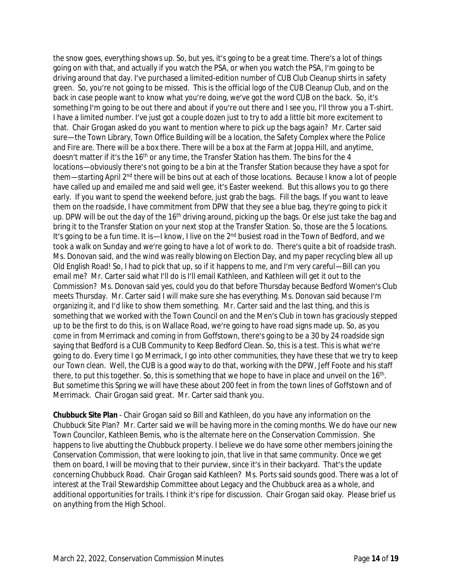the snow goes, everything shows up. So, but yes, it's going to be a great time. There's a lot of things going on with that, and actually if you watch the PSA, or when you watch the PSA, I'm going to be driving around that day. I've purchased a limited-edition number of CUB Club Cleanup shirts in safety green. So, you're not going to be missed. This is the official logo of the CUB Cleanup Club, and on the back in case people want to know what you're doing, we've got the word CUB on the back. So, it's something I'm going to be out there and about if you're out there and I see you, I'll throw you a T-shirt. I have a limited number. I've just got a couple dozen just to try to add a little bit more excitement to that. Chair Grogan asked do you want to mention where to pick up the bags again? Mr. Carter said sure—the Town Library, Town Office Building will be a location, the Safety Complex where the Police and Fire are. There will be a box there. There will be a box at the Farm at Joppa Hill, and anytime, doesn't matter if it's the 16<sup>th</sup> or any time, the Transfer Station has them. The bins for the 4 locations—obviously there's not going to be a bin at the Transfer Station because they have a spot for them—starting April 2nd there will be bins out at each of those locations. Because I know a lot of people have called up and emailed me and said well gee, it's Easter weekend. But this allows you to go there early. If you want to spend the weekend before, just grab the bags. Fill the bags. If you want to leave them on the roadside, I have commitment from DPW that they see a blue bag, they're going to pick it up. DPW will be out the day of the 16<sup>th</sup> driving around, picking up the bags. Or else just take the bag and bring it to the Transfer Station on your next stop at the Transfer Station. So, those are the 5 locations. It's going to be a fun time. It is—I know, I live on the 2<sup>nd</sup> busiest road in the Town of Bedford, and we took a walk on Sunday and we're going to have a lot of work to do. There's quite a bit of roadside trash. Ms. Donovan said, and the wind was really blowing on Election Day, and my paper recycling blew all up Old English Road! So, I had to pick that up, so if it happens to me, and I'm very careful—Bill can you email me? Mr. Carter said what I'll do is I'll email Kathleen, and Kathleen will get it out to the Commission? Ms. Donovan said yes, could you do that before Thursday because Bedford Women's Club meets Thursday. Mr. Carter said I will make sure she has everything. Ms. Donovan said because I'm organizing it, and I'd like to show them something. Mr. Carter said and the last thing, and this is something that we worked with the Town Council on and the Men's Club in town has graciously stepped up to be the first to do this, is on Wallace Road, we're going to have road signs made up. So, as you come in from Merrimack and coming in from Goffstown, there's going to be a 30 by 24 roadside sign saying that Bedford is a CUB Community to Keep Bedford Clean. So, this is a test. This is what we're going to do. Every time I go Merrimack, I go into other communities, they have these that we try to keep our Town clean. Well, the CUB is a good way to do that, working with the DPW, Jeff Foote and his staff there, to put this together. So, this is something that we hope to have in place and unveil on the 16<sup>th</sup>. But sometime this Spring we will have these about 200 feet in from the town lines of Goffstown and of Merrimack. Chair Grogan said great. Mr. Carter said thank you.

**Chubbuck Site Plan** - Chair Grogan said so Bill and Kathleen, do you have any information on the Chubbuck Site Plan? Mr. Carter said we will be having more in the coming months. We do have our new Town Councilor, Kathleen Bemis, who is the alternate here on the Conservation Commission. She happens to live abutting the Chubbuck property. I believe we do have some other members joining the Conservation Commission, that were looking to join, that live in that same community. Once we get them on board, I will be moving that to their purview, since it's in their backyard. That's the update concerning Chubbuck Road. Chair Grogan said Kathleen? Ms. Ports said sounds good. There was a lot of interest at the Trail Stewardship Committee about Legacy and the Chubbuck area as a whole, and additional opportunities for trails. I think it's ripe for discussion. Chair Grogan said okay. Please brief us on anything from the High School.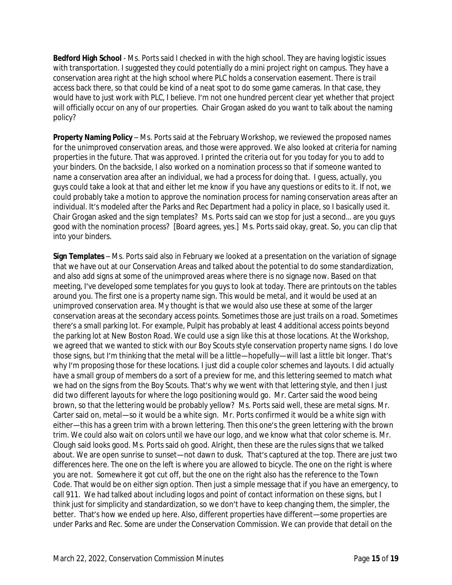**Bedford High School** - Ms. Ports said I checked in with the high school. They are having logistic issues with transportation. I suggested they could potentially do a mini project right on campus. They have a conservation area right at the high school where PLC holds a conservation easement. There is trail access back there, so that could be kind of a neat spot to do some game cameras. In that case, they would have to just work with PLC, I believe. I'm not one hundred percent clear yet whether that project will officially occur on any of our properties. Chair Grogan asked do you want to talk about the naming policy?

**Property Naming Policy** – Ms. Ports said at the February Workshop, we reviewed the proposed names for the unimproved conservation areas, and those were approved. We also looked at criteria for naming properties in the future. That was approved. I printed the criteria out for you today for you to add to your binders. On the backside, I also worked on a nomination process so that if someone wanted to name a conservation area after an individual, we had a process for doing that. I guess, actually, you guys could take a look at that and either let me know if you have any questions or edits to it. If not, we could probably take a motion to approve the nomination process for naming conservation areas after an individual. It's modeled after the Parks and Rec Department had a policy in place, so I basically used it. Chair Grogan asked and the sign templates? Ms. Ports said can we stop for just a second… are you guys good with the nomination process? [Board agrees, yes.] Ms. Ports said okay, great. So, you can clip that into your binders.

**Sign Templates** – Ms. Ports said also in February we looked at a presentation on the variation of signage that we have out at our Conservation Areas and talked about the potential to do some standardization, and also add signs at some of the unimproved areas where there is no signage now. Based on that meeting, I've developed some templates for you guys to look at today. There are printouts on the tables around you. The first one is a property name sign. This would be metal, and it would be used at an unimproved conservation area. My thought is that we would also use these at some of the larger conservation areas at the secondary access points. Sometimes those are just trails on a road. Sometimes there's a small parking lot. For example, Pulpit has probably at least 4 additional access points beyond the parking lot at New Boston Road. We could use a sign like this at those locations. At the Workshop, we agreed that we wanted to stick with our Boy Scouts style conservation property name signs. I do love those signs, but I'm thinking that the metal will be a little—hopefully—will last a little bit longer. That's why I'm proposing those for these locations. I just did a couple color schemes and layouts. I did actually have a small group of members do a sort of a preview for me, and this lettering seemed to match what we had on the signs from the Boy Scouts. That's why we went with that lettering style, and then I just did two different layouts for where the logo positioning would go. Mr. Carter said the wood being brown, so that the lettering would be probably yellow? Ms. Ports said well, these are metal signs. Mr. Carter said on, metal—so it would be a white sign. Mr. Ports confirmed it would be a white sign with either—this has a green trim with a brown lettering. Then this one's the green lettering with the brown trim. We could also wait on colors until we have our logo, and we know what that color scheme is. Mr. Clough said looks good. Ms. Ports said oh good. Alright, then these are the rules signs that we talked about. We are open sunrise to sunset—not dawn to dusk. That's captured at the top. There are just two differences here. The one on the left is where you are allowed to bicycle. The one on the right is where you are not. Somewhere it got cut off, but the one on the right also has the reference to the Town Code. That would be on either sign option. Then just a simple message that if you have an emergency, to call 911. We had talked about including logos and point of contact information on these signs, but I think just for simplicity and standardization, so we don't have to keep changing them, the simpler, the better. That's how we ended up here. Also, different properties have different—some properties are under Parks and Rec. Some are under the Conservation Commission. We can provide that detail on the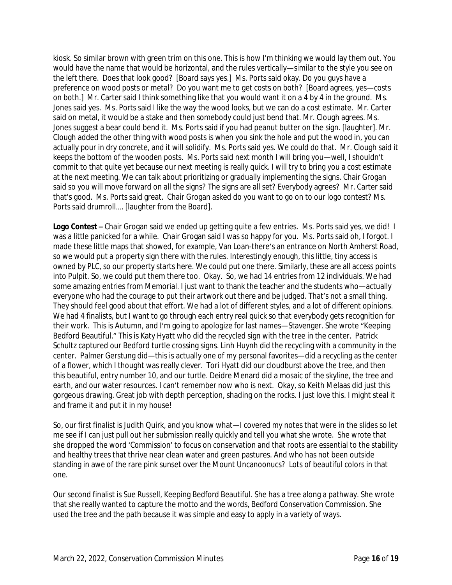kiosk. So similar brown with green trim on this one. This is how I'm thinking we would lay them out. You would have the name that would be horizontal, and the rules vertically—similar to the style you see on the left there. Does that look good? [Board says yes.] Ms. Ports said okay. Do you guys have a preference on wood posts or metal? Do you want me to get costs on both? [Board agrees, yes—costs on both.] Mr. Carter said I think something like that you would want it on a 4 by 4 in the ground. Ms. Jones said yes. Ms. Ports said I like the way the wood looks, but we can do a cost estimate. Mr. Carter said on metal, it would be a stake and then somebody could just bend that. Mr. Clough agrees. Ms. Jones suggest a bear could bend it. Ms. Ports said if you had peanut butter on the sign. [laughter]. Mr. Clough added the other thing with wood posts is when you sink the hole and put the wood in, you can actually pour in dry concrete, and it will solidify. Ms. Ports said yes. We could do that. Mr. Clough said it keeps the bottom of the wooden posts. Ms. Ports said next month I will bring you—well, I shouldn't commit to that quite yet because our next meeting is really quick. I will try to bring you a cost estimate at the next meeting. We can talk about prioritizing or gradually implementing the signs. Chair Grogan said so you will move forward on all the signs? The signs are all set? Everybody agrees? Mr. Carter said that's good. Ms. Ports said great. Chair Grogan asked do you want to go on to our logo contest? Ms. Ports said drumroll…. [laughter from the Board].

**Logo Contest –** Chair Grogan said we ended up getting quite a few entries. Ms. Ports said yes, we did! I was a little panicked for a while. Chair Grogan said I was so happy for you. Ms. Ports said oh, I forgot. I made these little maps that showed, for example, Van Loan-there's an entrance on North Amherst Road, so we would put a property sign there with the rules. Interestingly enough, this little, tiny access is owned by PLC, so our property starts here. We could put one there. Similarly, these are all access points into Pulpit. So, we could put them there too. Okay. So, we had 14 entries from 12 individuals. We had some amazing entries from Memorial. I just want to thank the teacher and the students who—actually everyone who had the courage to put their artwork out there and be judged. That's not a small thing. They should feel good about that effort. We had a lot of different styles, and a lot of different opinions. We had 4 finalists, but I want to go through each entry real quick so that everybody gets recognition for their work. This is Autumn, and I'm going to apologize for last names—Stavenger. She wrote "Keeping Bedford Beautiful." This is Katy Hyatt who did the recycled sign with the tree in the center. Patrick Schultz captured our Bedford turtle crossing signs. Linh Huynh did the recycling with a community in the center. Palmer Gerstung did—this is actually one of my personal favorites—did a recycling as the center of a flower, which I thought was really clever. Tori Hyatt did our cloudburst above the tree, and then this beautiful, entry number 10, and our turtle. Deidre Menard did a mosaic of the skyline, the tree and earth, and our water resources. I can't remember now who is next. Okay, so Keith Melaas did just this gorgeous drawing. Great job with depth perception, shading on the rocks. I just love this. I might steal it and frame it and put it in my house!

So, our first finalist is Judith Quirk, and you know what—I covered my notes that were in the slides so let me see if I can just pull out her submission really quickly and tell you what she wrote. She wrote that she dropped the word 'Commission' to focus on conservation and that roots are essential to the stability and healthy trees that thrive near clean water and green pastures. And who has not been outside standing in awe of the rare pink sunset over the Mount Uncanoonucs? Lots of beautiful colors in that one.

Our second finalist is Sue Russell, Keeping Bedford Beautiful. She has a tree along a pathway. She wrote that she really wanted to capture the motto and the words, Bedford Conservation Commission. She used the tree and the path because it was simple and easy to apply in a variety of ways.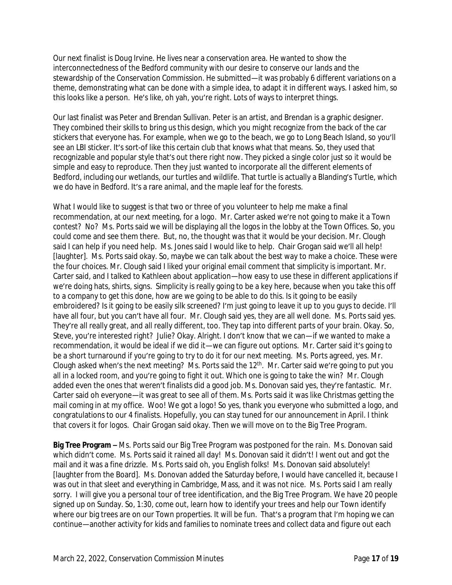Our next finalist is Doug Irvine. He lives near a conservation area. He wanted to show the interconnectedness of the Bedford community with our desire to conserve our lands and the stewardship of the Conservation Commission. He submitted—it was probably 6 different variations on a theme, demonstrating what can be done with a simple idea, to adapt it in different ways. I asked him, so this looks like a person. He's like, oh yah, you're right. Lots of ways to interpret things.

Our last finalist was Peter and Brendan Sullivan. Peter is an artist, and Brendan is a graphic designer. They combined their skills to bring us this design, which you might recognize from the back of the car stickers that everyone has. For example, when we go to the beach, we go to Long Beach Island, so you'll see an LBI sticker. It's sort-of like this certain club that knows what that means. So, they used that recognizable and popular style that's out there right now. They picked a single color just so it would be simple and easy to reproduce. Then they just wanted to incorporate all the different elements of Bedford, including our wetlands, our turtles and wildlife. That turtle is actually a Blanding's Turtle, which we do have in Bedford. It's a rare animal, and the maple leaf for the forests.

What I would like to suggest is that two or three of you volunteer to help me make a final recommendation, at our next meeting, for a logo. Mr. Carter asked we're not going to make it a Town contest? No? Ms. Ports said we will be displaying all the logos in the lobby at the Town Offices. So, you could come and see them there. But, no, the thought was that it would be your decision. Mr. Clough said I can help if you need help. Ms. Jones said I would like to help. Chair Grogan said we'll all help! [laughter]. Ms. Ports said okay. So, maybe we can talk about the best way to make a choice. These were the four choices. Mr. Clough said I liked your original email comment that simplicity is important. Mr. Carter said, and I talked to Kathleen about application—how easy to use these in different applications if we're doing hats, shirts, signs. Simplicity is really going to be a key here, because when you take this off to a company to get this done, how are we going to be able to do this. Is it going to be easily embroidered? Is it going to be easily silk screened? I'm just going to leave it up to you guys to decide. I'll have all four, but you can't have all four. Mr. Clough said yes, they are all well done. Ms. Ports said yes. They're all really great, and all really different, too. They tap into different parts of your brain. Okay. So, Steve, you're interested right? Julie? Okay. Alright. I don't know that we can—if we wanted to make a recommendation, it would be ideal if we did it—we can figure out options. Mr. Carter said it's going to be a short turnaround if you're going to try to do it for our next meeting. Ms. Ports agreed, yes. Mr. Clough asked when's the next meeting? Ms. Ports said the 12<sup>th</sup>. Mr. Carter said we're going to put you all in a locked room, and you're going to fight it out. Which one is going to take the win? Mr. Clough added even the ones that weren't finalists did a good job. Ms. Donovan said yes, they're fantastic. Mr. Carter said oh everyone—it was great to see all of them. Ms. Ports said it was like Christmas getting the mail coming in at my office. Woo! We got a logo! So yes, thank you everyone who submitted a logo, and congratulations to our 4 finalists. Hopefully, you can stay tuned for our announcement in April. I think that covers it for logos. Chair Grogan said okay. Then we will move on to the Big Tree Program.

**Big Tree Program –** Ms. Ports said our Big Tree Program was postponed for the rain. Ms. Donovan said which didn't come. Ms. Ports said it rained all day! Ms. Donovan said it didn't! I went out and got the mail and it was a fine drizzle. Ms. Ports said oh, you English folks! Ms. Donovan said absolutely! [laughter from the Board]. Ms. Donovan added the Saturday before, I would have cancelled it, because I was out in that sleet and everything in Cambridge, Mass, and it was not nice. Ms. Ports said I am really sorry. I will give you a personal tour of tree identification, and the Big Tree Program. We have 20 people signed up on Sunday. So, 1:30, come out, learn how to identify your trees and help our Town identify where our big trees are on our Town properties. It will be fun. That's a program that I'm hoping we can continue—another activity for kids and families to nominate trees and collect data and figure out each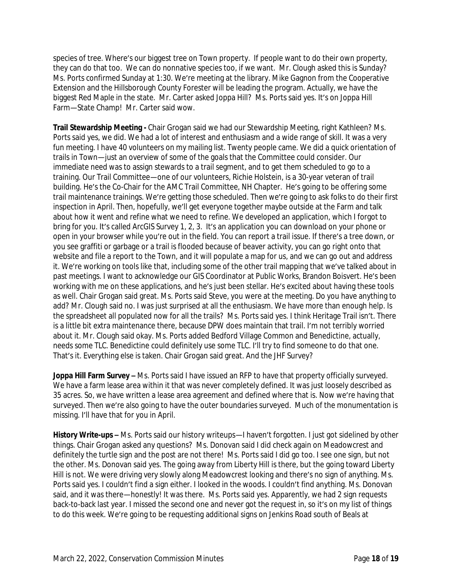species of tree. Where's our biggest tree on Town property. If people want to do their own property, they can do that too. We can do nonnative species too, if we want. Mr. Clough asked this is Sunday? Ms. Ports confirmed Sunday at 1:30. We're meeting at the library. Mike Gagnon from the Cooperative Extension and the Hillsborough County Forester will be leading the program. Actually, we have the biggest Red Maple in the state. Mr. Carter asked Joppa Hill? Ms. Ports said yes. It's on Joppa Hill Farm—State Champ! Mr. Carter said wow.

**Trail Stewardship Meeting -** Chair Grogan said we had our Stewardship Meeting, right Kathleen? Ms. Ports said yes, we did. We had a lot of interest and enthusiasm and a wide range of skill. It was a very fun meeting. I have 40 volunteers on my mailing list. Twenty people came. We did a quick orientation of trails in Town—just an overview of some of the goals that the Committee could consider. Our immediate need was to assign stewards to a trail segment, and to get them scheduled to go to a training. Our Trail Committee—one of our volunteers, Richie Holstein, is a 30-year veteran of trail building. He's the Co-Chair for the AMC Trail Committee, NH Chapter. He's going to be offering some trail maintenance trainings. We're getting those scheduled. Then we're going to ask folks to do their first inspection in April. Then, hopefully, we'll get everyone together maybe outside at the Farm and talk about how it went and refine what we need to refine. We developed an application, which I forgot to bring for you. It's called ArcGIS Survey 1, 2, 3. It's an application you can download on your phone or open in your browser while you're out in the field. You can report a trail issue. If there's a tree down, or you see graffiti or garbage or a trail is flooded because of beaver activity, you can go right onto that website and file a report to the Town, and it will populate a map for us, and we can go out and address it. We're working on tools like that, including some of the other trail mapping that we've talked about in past meetings. I want to acknowledge our GIS Coordinator at Public Works, Brandon Boisvert. He's been working with me on these applications, and he's just been stellar. He's excited about having these tools as well. Chair Grogan said great. Ms. Ports said Steve, you were at the meeting. Do you have anything to add? Mr. Clough said no. I was just surprised at all the enthusiasm. We have more than enough help. Is the spreadsheet all populated now for all the trails? Ms. Ports said yes. I think Heritage Trail isn't. There is a little bit extra maintenance there, because DPW does maintain that trail. I'm not terribly worried about it. Mr. Clough said okay. Ms. Ports added Bedford Village Common and Benedictine, actually, needs some TLC. Benedictine could definitely use some TLC. I'll try to find someone to do that one. That's it. Everything else is taken. Chair Grogan said great. And the JHF Survey?

**Joppa Hill Farm Survey –** Ms. Ports said I have issued an RFP to have that property officially surveyed. We have a farm lease area within it that was never completely defined. It was just loosely described as 35 acres. So, we have written a lease area agreement and defined where that is. Now we're having that surveyed. Then we're also going to have the outer boundaries surveyed. Much of the monumentation is missing. I'll have that for you in April.

**History Write-ups –** Ms. Ports said our history writeups—I haven't forgotten. I just got sidelined by other things. Chair Grogan asked any questions? Ms. Donovan said I did check again on Meadowcrest and definitely the turtle sign and the post are not there! Ms. Ports said I did go too. I see one sign, but not the other. Ms. Donovan said yes. The going away from Liberty Hill is there, but the going toward Liberty Hill is not. We were driving very slowly along Meadowcrest looking and there's no sign of anything. Ms. Ports said yes. I couldn't find a sign either. I looked in the woods. I couldn't find anything. Ms. Donovan said, and it was there—honestly! It was there. Ms. Ports said yes. Apparently, we had 2 sign requests back-to-back last year. I missed the second one and never got the request in, so it's on my list of things to do this week. We're going to be requesting additional signs on Jenkins Road south of Beals at